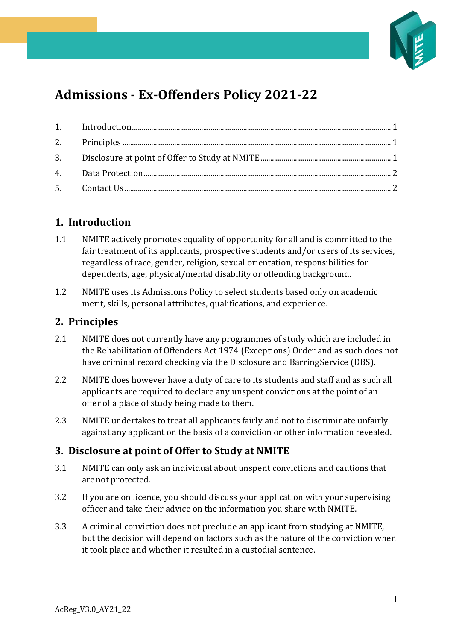

# **Admissions - Ex-Offenders Policy 2021-22**

## <span id="page-0-0"></span>**1. Introduction**

- 1.1 NMITE actively promotes equality of opportunity for all and is committed to the fair treatment of its applicants, prospective students and/or users of its services, regardless of race, gender, religion, sexual orientation, responsibilities for dependents, age, physical/mental disability or offending background.
- 1.2 NMITE uses its Admissions Policy to select students based only on academic merit, skills, personal attributes, qualifications, and experience.

#### <span id="page-0-1"></span>**2. Principles**

- 2.1 NMITE does not currently have any programmes of study which are included in the Rehabilitation of Offenders Act 1974 (Exceptions) Order and as such does not have criminal record checking via the Disclosure and BarringService (DBS).
- 2.2 NMITE does however have a duty of care to its students and staff and as such all applicants are required to declare any unspent convictions at the point of an offer of a place of study being made to them.
- 2.3 NMITE undertakes to treat all applicants fairly and not to discriminate unfairly against any applicant on the basis of a conviction or other information revealed.

#### <span id="page-0-2"></span>**3. Disclosure at point of Offer to Study at NMITE**

- 3.1 NMITE can only ask an individual about unspent convictions and cautions that arenot protected.
- 3.2 If you are on licence, you should discuss your application with your supervising officer and take their advice on the information you share with NMITE.
- 3.3 A criminal conviction does not preclude an applicant from studying at NMITE, but the decision will depend on factors such as the nature of the conviction when it took place and whether it resulted in a custodial sentence.